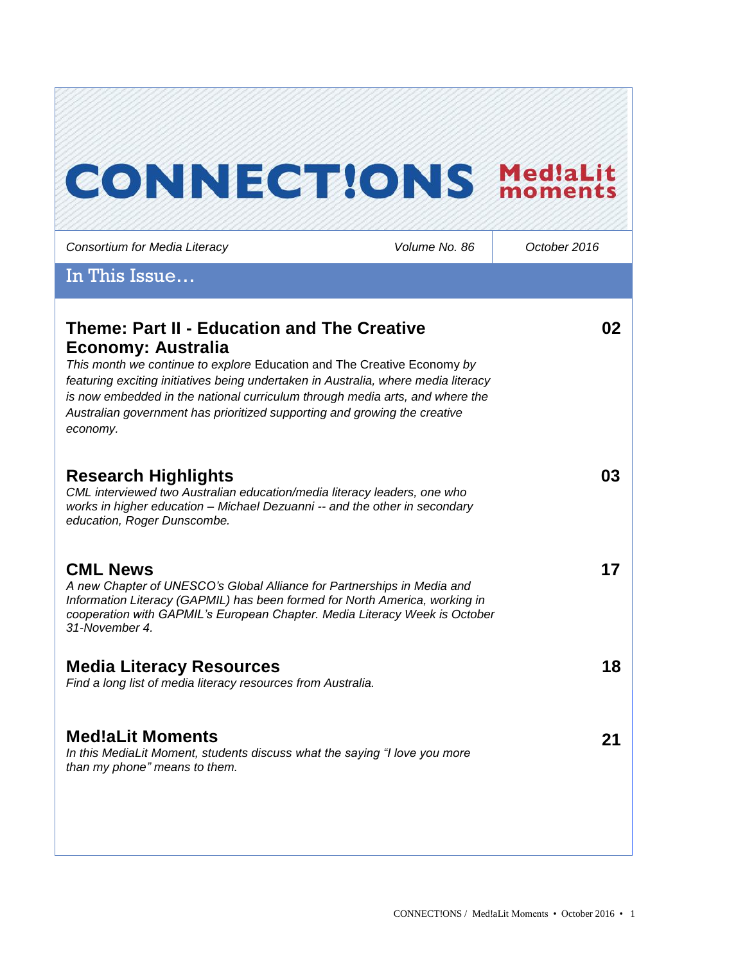# **CONNECTIONS MediaLit** *Consortium for Media Literacy Volume No. 86 October 2016* In This Issue… **Theme: Part II - Education and The Creative 02 Economy: Australia** *This month we continue to explore* Education and The Creative Economy *by featuring exciting initiatives being undertaken in Australia, where media literacy is now embedded in the national curriculum through media arts, and where the Australian government has prioritized supporting and growing the creative economy.*  **03 Research Highlights** *CML interviewed two Australian education/media literacy leaders, one who works in higher education – Michael Dezuanni -- and the other in secondary education, Roger Dunscombe.*  **17 CML News**  *A new Chapter of UNESCO's Global Alliance for Partnerships in Media and Information Literacy (GAPMIL) has been formed for North America, working in cooperation with GAPMIL's European Chapter. Media Literacy Week is October 31-November 4.*  **Media Literacy Resources 18** *Find a long list of media literacy resources from Australia.* **Med!aLit Moments 21***In this MediaLit Moment, students discuss what the saying "I love you more than my phone" means to them.*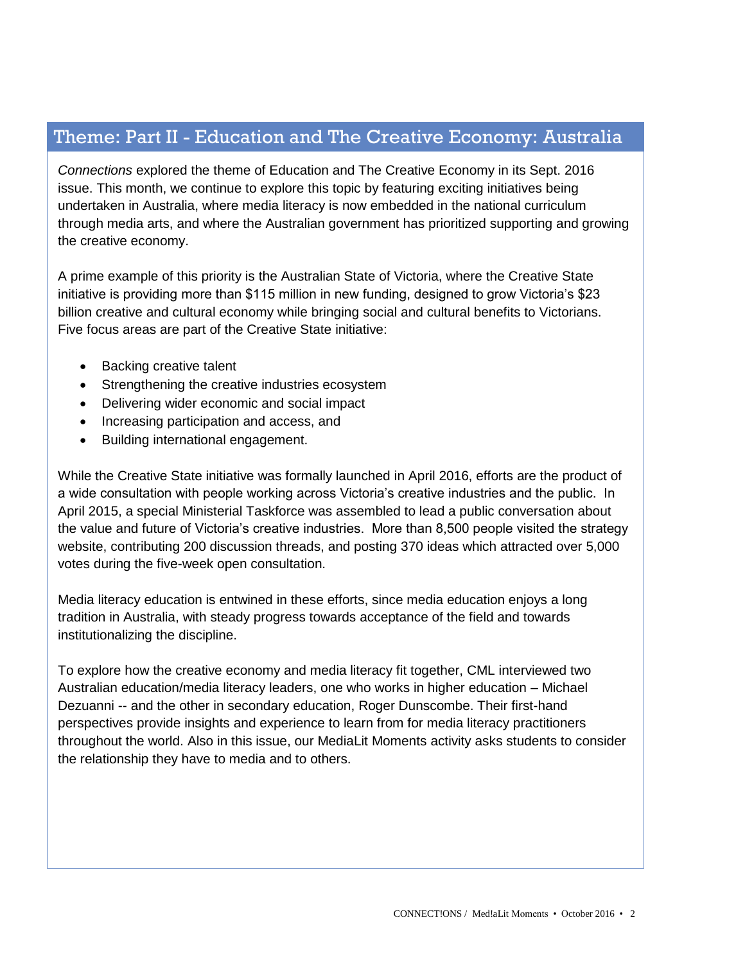## Theme: Part II - Education and The Creative Economy: Australia

*Connections* explored the theme of Education and The Creative Economy in its Sept. 2016 issue. This month, we continue to explore this topic by featuring exciting initiatives being undertaken in Australia, where media literacy is now embedded in the national curriculum through media arts, and where the Australian government has prioritized supporting and growing the creative economy.

A prime example of this priority is the Australian State of Victoria, where the Creative State initiative is providing more than \$115 million in new funding, designed to grow Victoria's \$23 billion creative and cultural economy while bringing social and cultural benefits to Victorians. Five focus areas are part of the Creative State initiative:

- Backing creative talent
- Strengthening the creative industries ecosystem
- Delivering wider economic and social impact
- Increasing participation and access, and
- Building international engagement.

While the Creative State initiative was formally launched in April 2016, efforts are the product of a wide consultation with people working across Victoria's creative industries and the public. In April 2015, a special Ministerial Taskforce was assembled to lead a public conversation about the value and future of Victoria's creative industries. More than 8,500 people visited the strategy website, contributing 200 discussion threads, and posting 370 ideas which attracted over 5,000 votes during the five-week open consultation.

Media literacy education is entwined in these efforts, since media education enjoys a long tradition in Australia, with steady progress towards acceptance of the field and towards institutionalizing the discipline.

To explore how the creative economy and media literacy fit together, CML interviewed two Australian education/media literacy leaders, one who works in higher education – Michael Dezuanni -- and the other in secondary education, Roger Dunscombe. Their first-hand perspectives provide insights and experience to learn from for media literacy practitioners throughout the world. Also in this issue, our MediaLit Moments activity asks students to consider the relationship they have to media and to others.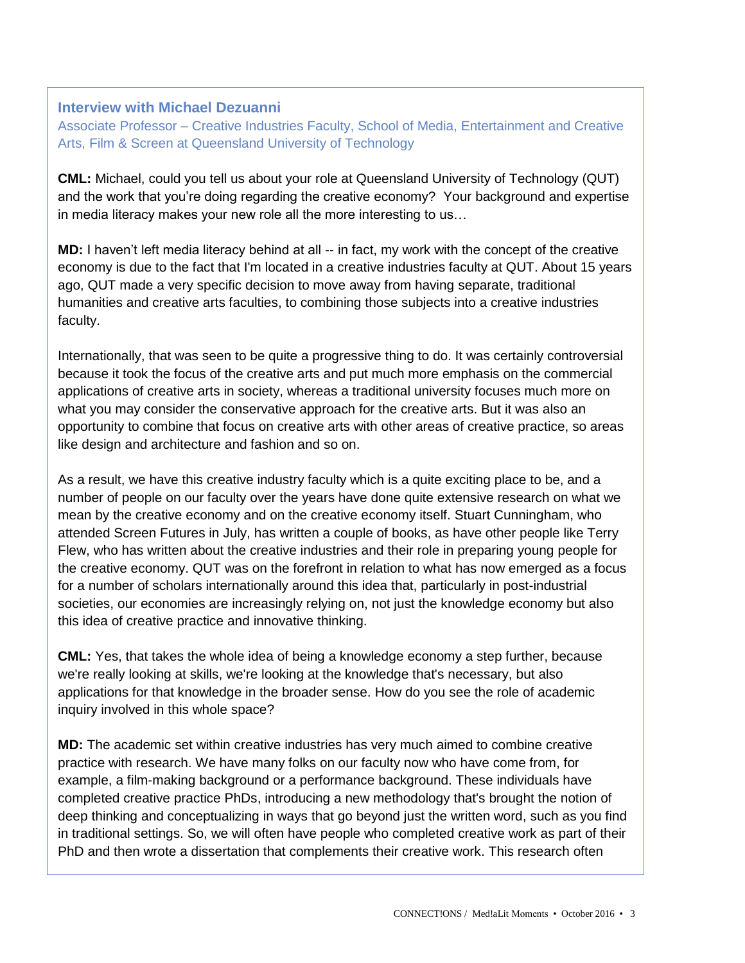## **Interview with Michael Dezuanni**

Associate Professor – Creative Industries Faculty, School of Media, Entertainment and Creative Arts, Film & Screen at Queensland University of Technology

**CML:** Michael, could you tell us about your role at Queensland University of Technology (QUT) and the work that you're doing regarding the creative economy? Your background and expertise in media literacy makes your new role all the more interesting to us…

**MD:** I haven't left media literacy behind at all -- in fact, my work with the concept of the creative economy is due to the fact that I'm located in a creative industries faculty at QUT. About 15 years ago, QUT made a very specific decision to move away from having separate, traditional humanities and creative arts faculties, to combining those subjects into a creative industries faculty.

Internationally, that was seen to be quite a progressive thing to do. It was certainly controversial because it took the focus of the creative arts and put much more emphasis on the commercial applications of creative arts in society, whereas a traditional university focuses much more on what you may consider the conservative approach for the creative arts. But it was also an opportunity to combine that focus on creative arts with other areas of creative practice, so areas like design and architecture and fashion and so on.

As a result, we have this creative industry faculty which is a quite exciting place to be, and a number of people on our faculty over the years have done quite extensive research on what we mean by the creative economy and on the creative economy itself. Stuart Cunningham, who attended Screen Futures in July, has written a couple of books, as have other people like Terry Flew, who has written about the creative industries and their role in preparing young people for the creative economy. QUT was on the forefront in relation to what has now emerged as a focus for a number of scholars internationally around this idea that, particularly in post-industrial societies, our economies are increasingly relying on, not just the knowledge economy but also this idea of creative practice and innovative thinking.

**CML:** Yes, that takes the whole idea of being a knowledge economy a step further, because we're really looking at skills, we're looking at the knowledge that's necessary, but also applications for that knowledge in the broader sense. How do you see the role of academic inquiry involved in this whole space?

**MD:** The academic set within creative industries has very much aimed to combine creative practice with research. We have many folks on our faculty now who have come from, for example, a film-making background or a performance background. These individuals have completed creative practice PhDs, introducing a new methodology that's brought the notion of deep thinking and conceptualizing in ways that go beyond just the written word, such as you find in traditional settings. So, we will often have people who completed creative work as part of their PhD and then wrote a dissertation that complements their creative work. This research often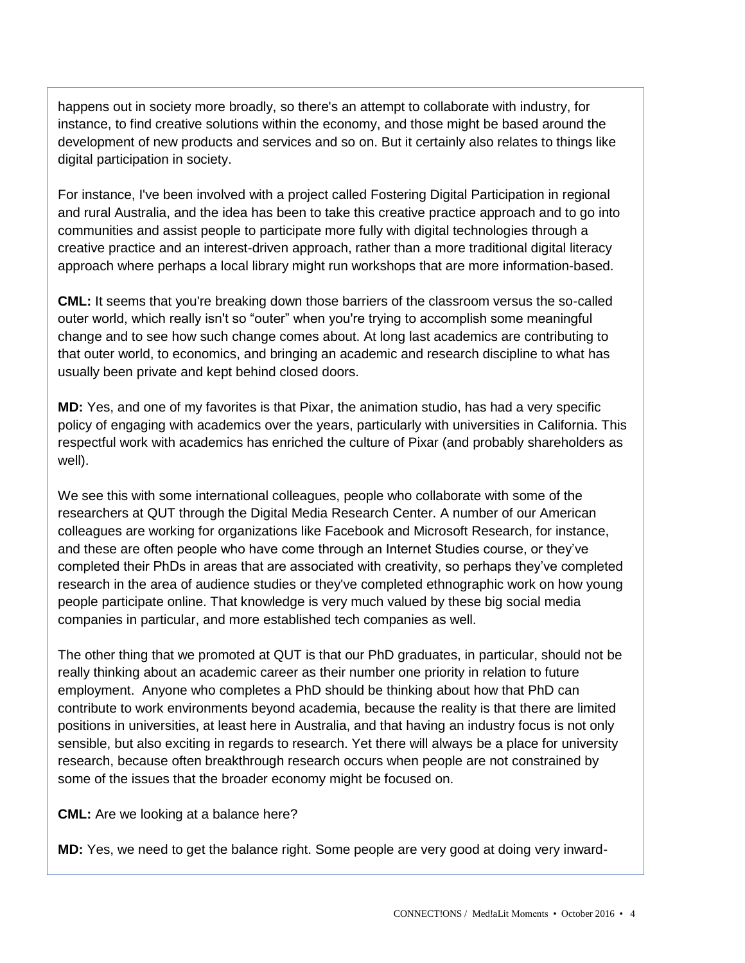happens out in society more broadly, so there's an attempt to collaborate with industry, for instance, to find creative solutions within the economy, and those might be based around the development of new products and services and so on. But it certainly also relates to things like digital participation in society.

For instance, I've been involved with a project called Fostering Digital Participation in regional and rural Australia, and the idea has been to take this creative practice approach and to go into communities and assist people to participate more fully with digital technologies through a creative practice and an interest-driven approach, rather than a more traditional digital literacy approach where perhaps a local library might run workshops that are more information-based.

**CML:** It seems that you're breaking down those barriers of the classroom versus the so-called outer world, which really isn't so "outer" when you're trying to accomplish some meaningful change and to see how such change comes about. At long last academics are contributing to that outer world, to economics, and bringing an academic and research discipline to what has usually been private and kept behind closed doors.

**MD:** Yes, and one of my favorites is that Pixar, the animation studio, has had a very specific policy of engaging with academics over the years, particularly with universities in California. This respectful work with academics has enriched the culture of Pixar (and probably shareholders as well).

We see this with some international colleagues, people who collaborate with some of the researchers at QUT through the Digital Media Research Center. A number of our American colleagues are working for organizations like Facebook and Microsoft Research, for instance, and these are often people who have come through an Internet Studies course, or they've completed their PhDs in areas that are associated with creativity, so perhaps they've completed research in the area of audience studies or they've completed ethnographic work on how young people participate online. That knowledge is very much valued by these big social media companies in particular, and more established tech companies as well.

The other thing that we promoted at QUT is that our PhD graduates, in particular, should not be really thinking about an academic career as their number one priority in relation to future employment. Anyone who completes a PhD should be thinking about how that PhD can contribute to work environments beyond academia, because the reality is that there are limited positions in universities, at least here in Australia, and that having an industry focus is not only sensible, but also exciting in regards to research. Yet there will always be a place for university research, because often breakthrough research occurs when people are not constrained by some of the issues that the broader economy might be focused on.

**CML:** Are we looking at a balance here?

**MD:** Yes, we need to get the balance right. Some people are very good at doing very inward-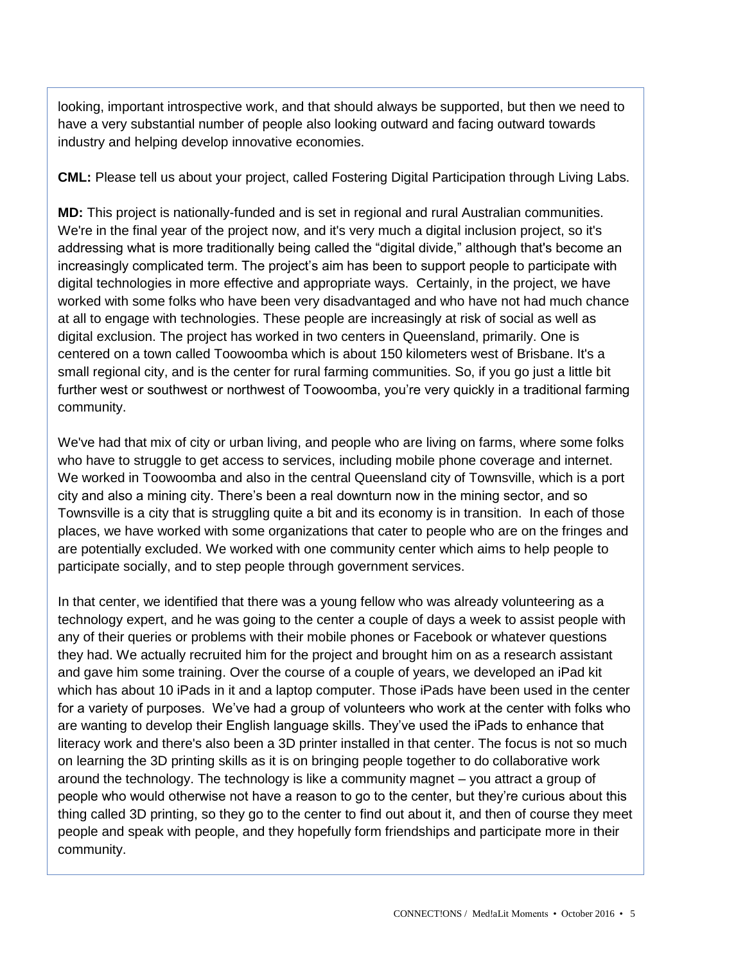looking, important introspective work, and that should always be supported, but then we need to have a very substantial number of people also looking outward and facing outward towards industry and helping develop innovative economies.

**CML:** Please tell us about your project, called Fostering Digital Participation through Living Labs.

**MD:** This project is nationally-funded and is set in regional and rural Australian communities. We're in the final year of the project now, and it's very much a digital inclusion project, so it's addressing what is more traditionally being called the "digital divide," although that's become an increasingly complicated term. The project's aim has been to support people to participate with digital technologies in more effective and appropriate ways. Certainly, in the project, we have worked with some folks who have been very disadvantaged and who have not had much chance at all to engage with technologies. These people are increasingly at risk of social as well as digital exclusion. The project has worked in two centers in Queensland, primarily. One is centered on a town called Toowoomba which is about 150 kilometers west of Brisbane. It's a small regional city, and is the center for rural farming communities. So, if you go just a little bit further west or southwest or northwest of Toowoomba, you're very quickly in a traditional farming community.

We've had that mix of city or urban living, and people who are living on farms, where some folks who have to struggle to get access to services, including mobile phone coverage and internet. We worked in Toowoomba and also in the central Queensland city of Townsville, which is a port city and also a mining city. There's been a real downturn now in the mining sector, and so Townsville is a city that is struggling quite a bit and its economy is in transition. In each of those places, we have worked with some organizations that cater to people who are on the fringes and are potentially excluded. We worked with one community center which aims to help people to participate socially, and to step people through government services.

In that center, we identified that there was a young fellow who was already volunteering as a technology expert, and he was going to the center a couple of days a week to assist people with any of their queries or problems with their mobile phones or Facebook or whatever questions they had. We actually recruited him for the project and brought him on as a research assistant and gave him some training. Over the course of a couple of years, we developed an iPad kit which has about 10 iPads in it and a laptop computer. Those iPads have been used in the center for a variety of purposes. We've had a group of volunteers who work at the center with folks who are wanting to develop their English language skills. They've used the iPads to enhance that literacy work and there's also been a 3D printer installed in that center. The focus is not so much on learning the 3D printing skills as it is on bringing people together to do collaborative work around the technology. The technology is like a community magnet – you attract a group of people who would otherwise not have a reason to go to the center, but they're curious about this thing called 3D printing, so they go to the center to find out about it, and then of course they meet people and speak with people, and they hopefully form friendships and participate more in their community.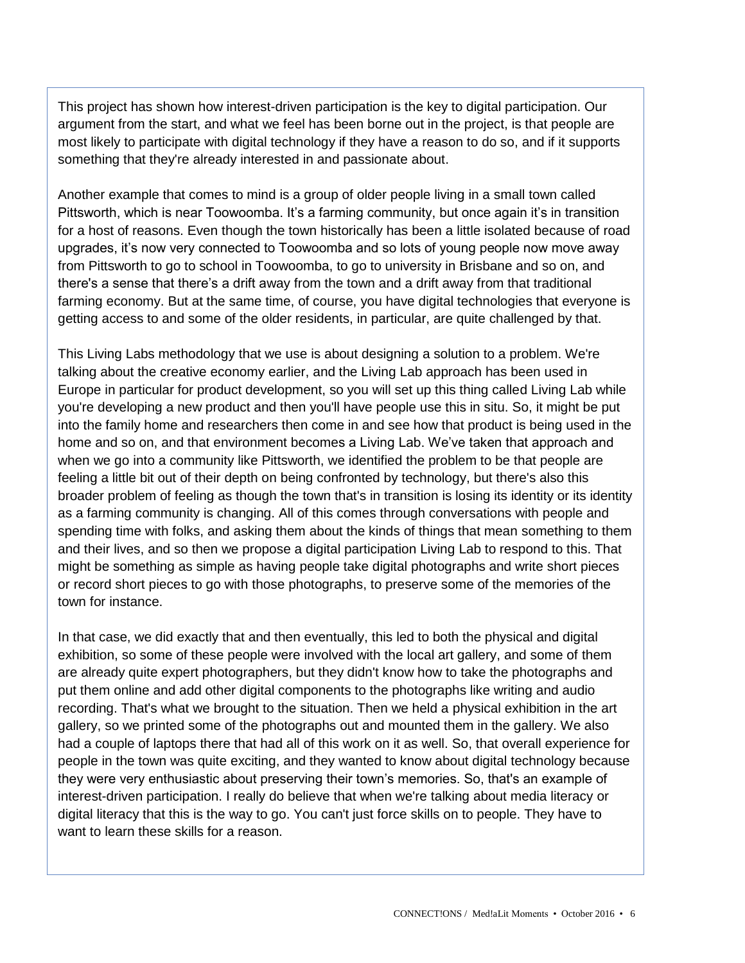This project has shown how interest-driven participation is the key to digital participation. Our argument from the start, and what we feel has been borne out in the project, is that people are most likely to participate with digital technology if they have a reason to do so, and if it supports something that they're already interested in and passionate about.

Another example that comes to mind is a group of older people living in a small town called Pittsworth, which is near Toowoomba. It's a farming community, but once again it's in transition for a host of reasons. Even though the town historically has been a little isolated because of road upgrades, it's now very connected to Toowoomba and so lots of young people now move away from Pittsworth to go to school in Toowoomba, to go to university in Brisbane and so on, and there's a sense that there's a drift away from the town and a drift away from that traditional farming economy. But at the same time, of course, you have digital technologies that everyone is getting access to and some of the older residents, in particular, are quite challenged by that.

This Living Labs methodology that we use is about designing a solution to a problem. We're talking about the creative economy earlier, and the Living Lab approach has been used in Europe in particular for product development, so you will set up this thing called Living Lab while you're developing a new product and then you'll have people use this in situ. So, it might be put into the family home and researchers then come in and see how that product is being used in the home and so on, and that environment becomes a Living Lab. We've taken that approach and when we go into a community like Pittsworth, we identified the problem to be that people are feeling a little bit out of their depth on being confronted by technology, but there's also this broader problem of feeling as though the town that's in transition is losing its identity or its identity as a farming community is changing. All of this comes through conversations with people and spending time with folks, and asking them about the kinds of things that mean something to them and their lives, and so then we propose a digital participation Living Lab to respond to this. That might be something as simple as having people take digital photographs and write short pieces or record short pieces to go with those photographs, to preserve some of the memories of the town for instance.

In that case, we did exactly that and then eventually, this led to both the physical and digital exhibition, so some of these people were involved with the local art gallery, and some of them are already quite expert photographers, but they didn't know how to take the photographs and put them online and add other digital components to the photographs like writing and audio recording. That's what we brought to the situation. Then we held a physical exhibition in the art gallery, so we printed some of the photographs out and mounted them in the gallery. We also had a couple of laptops there that had all of this work on it as well. So, that overall experience for people in the town was quite exciting, and they wanted to know about digital technology because they were very enthusiastic about preserving their town's memories. So, that's an example of interest-driven participation. I really do believe that when we're talking about media literacy or digital literacy that this is the way to go. You can't just force skills on to people. They have to want to learn these skills for a reason.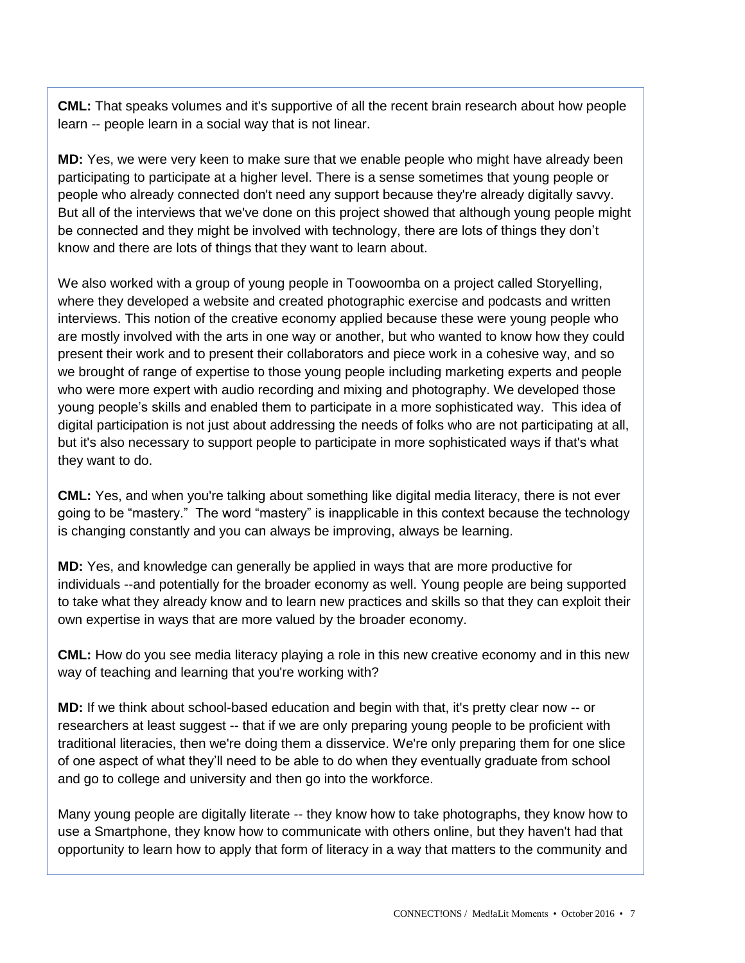**CML:** That speaks volumes and it's supportive of all the recent brain research about how people learn -- people learn in a social way that is not linear.

**MD:** Yes, we were very keen to make sure that we enable people who might have already been participating to participate at a higher level. There is a sense sometimes that young people or people who already connected don't need any support because they're already digitally savvy. But all of the interviews that we've done on this project showed that although young people might be connected and they might be involved with technology, there are lots of things they don't know and there are lots of things that they want to learn about.

We also worked with a group of young people in Toowoomba on a project called Storyelling, where they developed a website and created photographic exercise and podcasts and written interviews. This notion of the creative economy applied because these were young people who are mostly involved with the arts in one way or another, but who wanted to know how they could present their work and to present their collaborators and piece work in a cohesive way, and so we brought of range of expertise to those young people including marketing experts and people who were more expert with audio recording and mixing and photography. We developed those young people's skills and enabled them to participate in a more sophisticated way. This idea of digital participation is not just about addressing the needs of folks who are not participating at all, but it's also necessary to support people to participate in more sophisticated ways if that's what they want to do.

**CML:** Yes, and when you're talking about something like digital media literacy, there is not ever going to be "mastery." The word "mastery" is inapplicable in this context because the technology is changing constantly and you can always be improving, always be learning.

**MD:** Yes, and knowledge can generally be applied in ways that are more productive for individuals --and potentially for the broader economy as well. Young people are being supported to take what they already know and to learn new practices and skills so that they can exploit their own expertise in ways that are more valued by the broader economy.

**CML:** How do you see media literacy playing a role in this new creative economy and in this new way of teaching and learning that you're working with?

**MD:** If we think about school-based education and begin with that, it's pretty clear now -- or researchers at least suggest -- that if we are only preparing young people to be proficient with traditional literacies, then we're doing them a disservice. We're only preparing them for one slice of one aspect of what they'll need to be able to do when they eventually graduate from school and go to college and university and then go into the workforce.

Many young people are digitally literate -- they know how to take photographs, they know how to use a Smartphone, they know how to communicate with others online, but they haven't had that opportunity to learn how to apply that form of literacy in a way that matters to the community and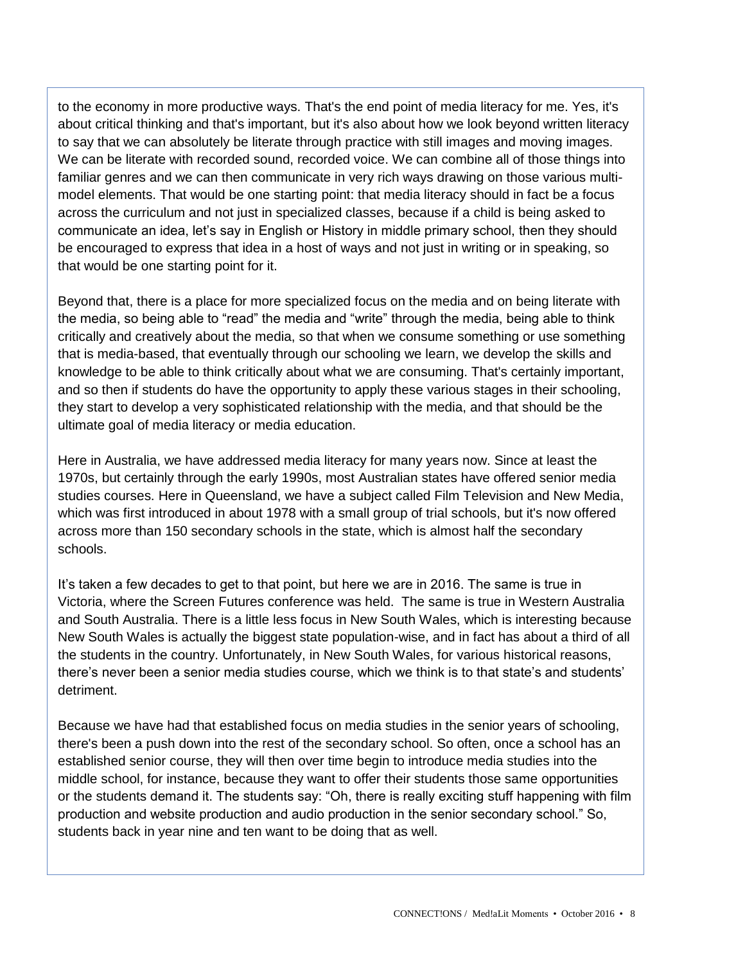to the economy in more productive ways. That's the end point of media literacy for me. Yes, it's about critical thinking and that's important, but it's also about how we look beyond written literacy to say that we can absolutely be literate through practice with still images and moving images. We can be literate with recorded sound, recorded voice. We can combine all of those things into familiar genres and we can then communicate in very rich ways drawing on those various multimodel elements. That would be one starting point: that media literacy should in fact be a focus across the curriculum and not just in specialized classes, because if a child is being asked to communicate an idea, let's say in English or History in middle primary school, then they should be encouraged to express that idea in a host of ways and not just in writing or in speaking, so that would be one starting point for it.

Beyond that, there is a place for more specialized focus on the media and on being literate with the media, so being able to "read" the media and "write" through the media, being able to think critically and creatively about the media, so that when we consume something or use something that is media-based, that eventually through our schooling we learn, we develop the skills and knowledge to be able to think critically about what we are consuming. That's certainly important, and so then if students do have the opportunity to apply these various stages in their schooling, they start to develop a very sophisticated relationship with the media, and that should be the ultimate goal of media literacy or media education.

Here in Australia, we have addressed media literacy for many years now. Since at least the 1970s, but certainly through the early 1990s, most Australian states have offered senior media studies courses. Here in Queensland, we have a subject called Film Television and New Media, which was first introduced in about 1978 with a small group of trial schools, but it's now offered across more than 150 secondary schools in the state, which is almost half the secondary schools.

It's taken a few decades to get to that point, but here we are in 2016. The same is true in Victoria, where the Screen Futures conference was held. The same is true in Western Australia and South Australia. There is a little less focus in New South Wales, which is interesting because New South Wales is actually the biggest state population-wise, and in fact has about a third of all the students in the country. Unfortunately, in New South Wales, for various historical reasons, there's never been a senior media studies course, which we think is to that state's and students' detriment.

Because we have had that established focus on media studies in the senior years of schooling, there's been a push down into the rest of the secondary school. So often, once a school has an established senior course, they will then over time begin to introduce media studies into the middle school, for instance, because they want to offer their students those same opportunities or the students demand it. The students say: "Oh, there is really exciting stuff happening with film production and website production and audio production in the senior secondary school." So, students back in year nine and ten want to be doing that as well.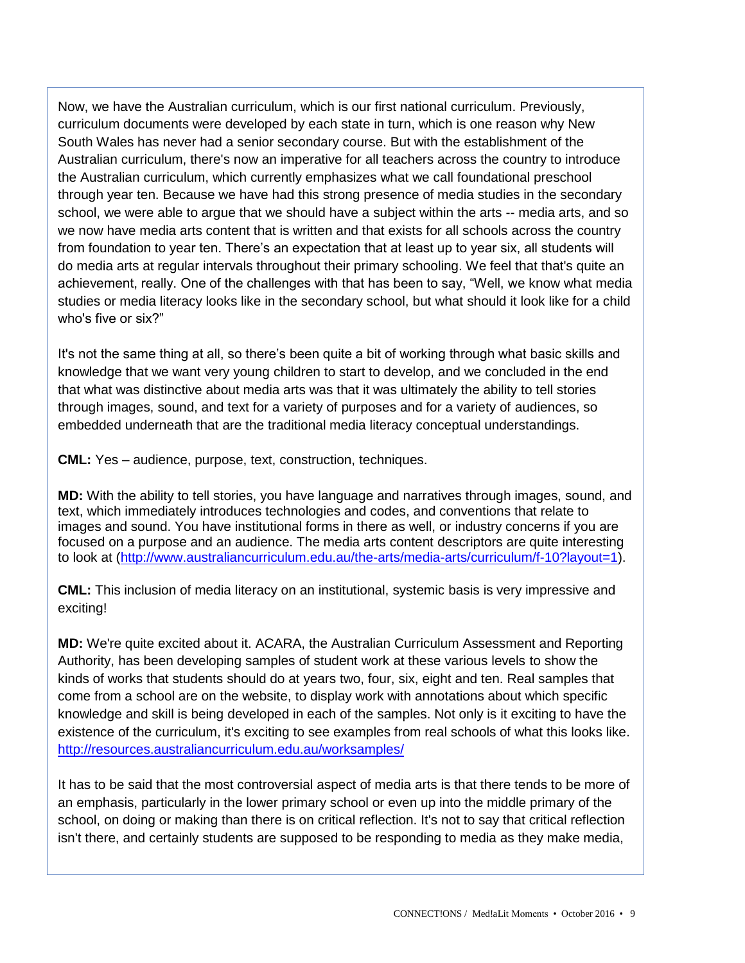Now, we have the Australian curriculum, which is our first national curriculum. Previously, curriculum documents were developed by each state in turn, which is one reason why New South Wales has never had a senior secondary course. But with the establishment of the Australian curriculum, there's now an imperative for all teachers across the country to introduce the Australian curriculum, which currently emphasizes what we call foundational preschool through year ten. Because we have had this strong presence of media studies in the secondary school, we were able to argue that we should have a subject within the arts -- media arts, and so we now have media arts content that is written and that exists for all schools across the country from foundation to year ten. There's an expectation that at least up to year six, all students will do media arts at regular intervals throughout their primary schooling. We feel that that's quite an achievement, really. One of the challenges with that has been to say, "Well, we know what media studies or media literacy looks like in the secondary school, but what should it look like for a child who's five or six?"

It's not the same thing at all, so there's been quite a bit of working through what basic skills and knowledge that we want very young children to start to develop, and we concluded in the end that what was distinctive about media arts was that it was ultimately the ability to tell stories through images, sound, and text for a variety of purposes and for a variety of audiences, so embedded underneath that are the traditional media literacy conceptual understandings.

**CML:** Yes – audience, purpose, text, construction, techniques.

**MD:** With the ability to tell stories, you have language and narratives through images, sound, and text, which immediately introduces technologies and codes, and conventions that relate to images and sound. You have institutional forms in there as well, or industry concerns if you are focused on a purpose and an audience. The media arts content descriptors are quite interesting to look at [\(http://www.australiancurriculum.edu.au/the-arts/media-arts/curriculum/f-10?layout=1\)](http://www.australiancurriculum.edu.au/the-arts/media-arts/curriculum/f-10?layout=1).

**CML:** This inclusion of media literacy on an institutional, systemic basis is very impressive and exciting!

**MD:** We're quite excited about it. ACARA, the Australian Curriculum Assessment and Reporting Authority, has been developing samples of student work at these various levels to show the kinds of works that students should do at years two, four, six, eight and ten. Real samples that come from a school are on the website, to display work with annotations about which specific knowledge and skill is being developed in each of the samples. Not only is it exciting to have the existence of the curriculum, it's exciting to see examples from real schools of what this looks like. <http://resources.australiancurriculum.edu.au/worksamples/>

It has to be said that the most controversial aspect of media arts is that there tends to be more of an emphasis, particularly in the lower primary school or even up into the middle primary of the school, on doing or making than there is on critical reflection. It's not to say that critical reflection isn't there, and certainly students are supposed to be responding to media as they make media,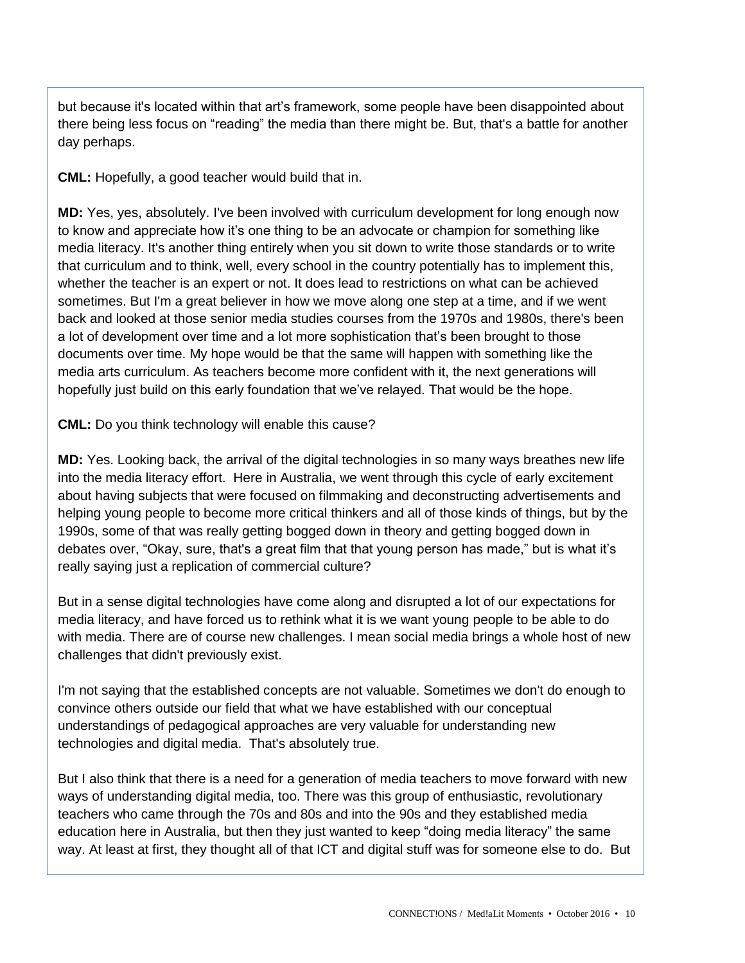but because it's located within that art's framework, some people have been disappointed about there being less focus on "reading" the media than there might be. But, that's a battle for another day perhaps.

**CML:** Hopefully, a good teacher would build that in.

**MD:** Yes, yes, absolutely. I've been involved with curriculum development for long enough now to know and appreciate how it's one thing to be an advocate or champion for something like media literacy. It's another thing entirely when you sit down to write those standards or to write that curriculum and to think, well, every school in the country potentially has to implement this, whether the teacher is an expert or not. It does lead to restrictions on what can be achieved sometimes. But I'm a great believer in how we move along one step at a time, and if we went back and looked at those senior media studies courses from the 1970s and 1980s, there's been a lot of development over time and a lot more sophistication that's been brought to those documents over time. My hope would be that the same will happen with something like the media arts curriculum. As teachers become more confident with it, the next generations will hopefully just build on this early foundation that we've relayed. That would be the hope.

**CML:** Do you think technology will enable this cause?

**MD:** Yes. Looking back, the arrival of the digital technologies in so many ways breathes new life into the media literacy effort. Here in Australia, we went through this cycle of early excitement about having subjects that were focused on filmmaking and deconstructing advertisements and helping young people to become more critical thinkers and all of those kinds of things, but by the 1990s, some of that was really getting bogged down in theory and getting bogged down in debates over, "Okay, sure, that's a great film that that young person has made," but is what it's really saying just a replication of commercial culture?

But in a sense digital technologies have come along and disrupted a lot of our expectations for media literacy, and have forced us to rethink what it is we want young people to be able to do with media. There are of course new challenges. I mean social media brings a whole host of new challenges that didn't previously exist.

I'm not saying that the established concepts are not valuable. Sometimes we don't do enough to convince others outside our field that what we have established with our conceptual understandings of pedagogical approaches are very valuable for understanding new technologies and digital media. That's absolutely true.

But I also think that there is a need for a generation of media teachers to move forward with new ways of understanding digital media, too. There was this group of enthusiastic, revolutionary teachers who came through the 70s and 80s and into the 90s and they established media education here in Australia, but then they just wanted to keep "doing media literacy" the same way. At least at first, they thought all of that ICT and digital stuff was for someone else to do. But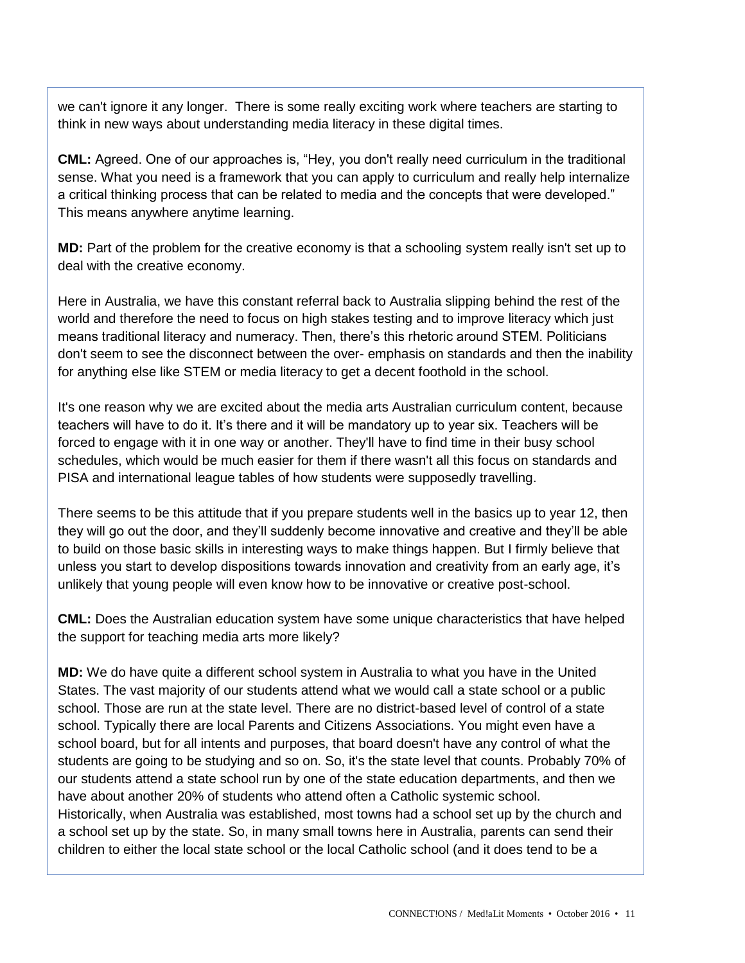we can't ignore it any longer. There is some really exciting work where teachers are starting to think in new ways about understanding media literacy in these digital times.

**CML:** Agreed. One of our approaches is, "Hey, you don't really need curriculum in the traditional sense. What you need is a framework that you can apply to curriculum and really help internalize a critical thinking process that can be related to media and the concepts that were developed." This means anywhere anytime learning.

**MD:** Part of the problem for the creative economy is that a schooling system really isn't set up to deal with the creative economy.

Here in Australia, we have this constant referral back to Australia slipping behind the rest of the world and therefore the need to focus on high stakes testing and to improve literacy which just means traditional literacy and numeracy. Then, there's this rhetoric around STEM. Politicians don't seem to see the disconnect between the over- emphasis on standards and then the inability for anything else like STEM or media literacy to get a decent foothold in the school.

It's one reason why we are excited about the media arts Australian curriculum content, because teachers will have to do it. It's there and it will be mandatory up to year six. Teachers will be forced to engage with it in one way or another. They'll have to find time in their busy school schedules, which would be much easier for them if there wasn't all this focus on standards and PISA and international league tables of how students were supposedly travelling.

There seems to be this attitude that if you prepare students well in the basics up to year 12, then they will go out the door, and they'll suddenly become innovative and creative and they'll be able to build on those basic skills in interesting ways to make things happen. But I firmly believe that unless you start to develop dispositions towards innovation and creativity from an early age, it's unlikely that young people will even know how to be innovative or creative post-school.

**CML:** Does the Australian education system have some unique characteristics that have helped the support for teaching media arts more likely?

**MD:** We do have quite a different school system in Australia to what you have in the United States. The vast majority of our students attend what we would call a state school or a public school. Those are run at the state level. There are no district-based level of control of a state school. Typically there are local Parents and Citizens Associations. You might even have a school board, but for all intents and purposes, that board doesn't have any control of what the students are going to be studying and so on. So, it's the state level that counts. Probably 70% of our students attend a state school run by one of the state education departments, and then we have about another 20% of students who attend often a Catholic systemic school. Historically, when Australia was established, most towns had a school set up by the church and a school set up by the state. So, in many small towns here in Australia, parents can send their

children to either the local state school or the local Catholic school (and it does tend to be a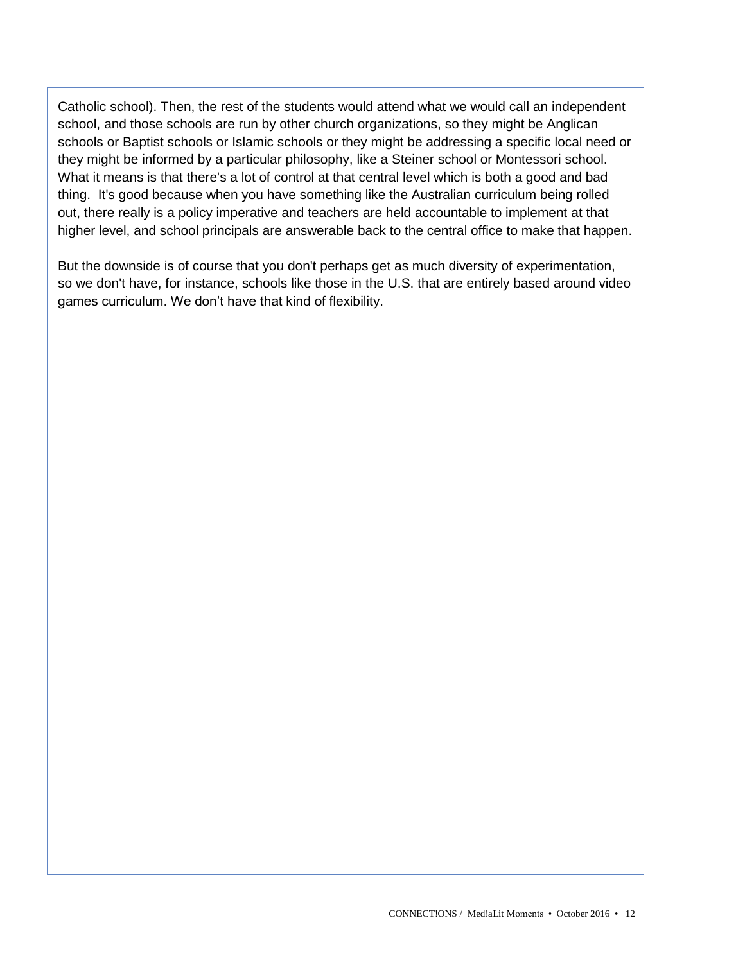Catholic school). Then, the rest of the students would attend what we would call an independent school, and those schools are run by other church organizations, so they might be Anglican schools or Baptist schools or Islamic schools or they might be addressing a specific local need or they might be informed by a particular philosophy, like a Steiner school or Montessori school. What it means is that there's a lot of control at that central level which is both a good and bad thing. It's good because when you have something like the Australian curriculum being rolled out, there really is a policy imperative and teachers are held accountable to implement at that higher level, and school principals are answerable back to the central office to make that happen.

But the downside is of course that you don't perhaps get as much diversity of experimentation, so we don't have, for instance, schools like those in the U.S. that are entirely based around video games curriculum. We don't have that kind of flexibility.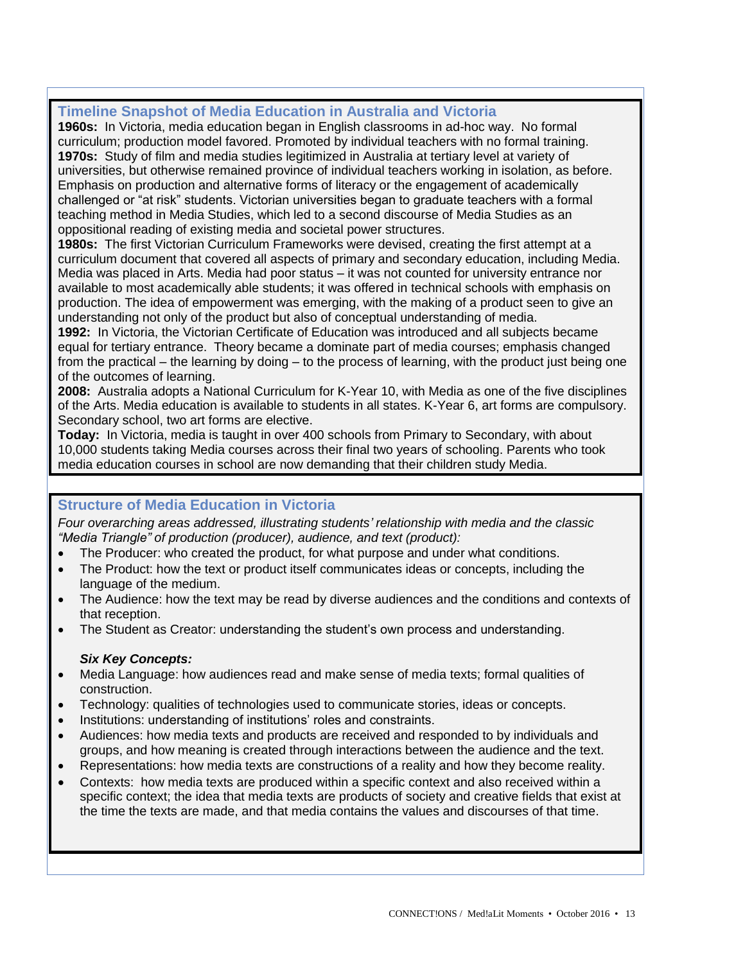## **Timeline Snapshot of Media Education in Australia and Victoria**

**1960s:** In Victoria, media education began in English classrooms in ad-hoc way. No formal curriculum; production model favored. Promoted by individual teachers with no formal training. **1970s:** Study of film and media studies legitimized in Australia at tertiary level at variety of universities, but otherwise remained province of individual teachers working in isolation, as before. Emphasis on production and alternative forms of literacy or the engagement of academically challenged or "at risk" students. Victorian universities began to graduate teachers with a formal teaching method in Media Studies, which led to a second discourse of Media Studies as an oppositional reading of existing media and societal power structures.

**1980s:** The first Victorian Curriculum Frameworks were devised, creating the first attempt at a curriculum document that covered all aspects of primary and secondary education, including Media. Media was placed in Arts. Media had poor status – it was not counted for university entrance nor available to most academically able students; it was offered in technical schools with emphasis on production. The idea of empowerment was emerging, with the making of a product seen to give an understanding not only of the product but also of conceptual understanding of media.

**1992:** In Victoria, the Victorian Certificate of Education was introduced and all subjects became equal for tertiary entrance. Theory became a dominate part of media courses; emphasis changed from the practical – the learning by doing – to the process of learning, with the product just being one of the outcomes of learning.

**2008:** Australia adopts a National Curriculum for K-Year 10, with Media as one of the five disciplines of the Arts. Media education is available to students in all states. K-Year 6, art forms are compulsory. Secondary school, two art forms are elective.

**Today:** In Victoria, media is taught in over 400 schools from Primary to Secondary, with about 10,000 students taking Media courses across their final two years of schooling. Parents who took media education courses in school are now demanding that their children study Media.

## **Structure of Media Education in Victoria**

*Four overarching areas addressed, illustrating students' relationship with media and the classic "Media Triangle" of production (producer), audience, and text (product):*

- The Producer: who created the product, for what purpose and under what conditions.
- The Product: how the text or product itself communicates ideas or concepts, including the language of the medium.
- The Audience: how the text may be read by diverse audiences and the conditions and contexts of that reception.
- The Student as Creator: understanding the student's own process and understanding.

#### *Six Key Concepts:*

- Media Language: how audiences read and make sense of media texts; formal qualities of construction.
- Technology: qualities of technologies used to communicate stories, ideas or concepts.
- Institutions: understanding of institutions' roles and constraints.
- Audiences: how media texts and products are received and responded to by individuals and groups, and how meaning is created through interactions between the audience and the text.
- Representations: how media texts are constructions of a reality and how they become reality.
- Contexts: how media texts are produced within a specific context and also received within a specific context; the idea that media texts are products of society and creative fields that exist at the time the texts are made, and that media contains the values and discourses of that time.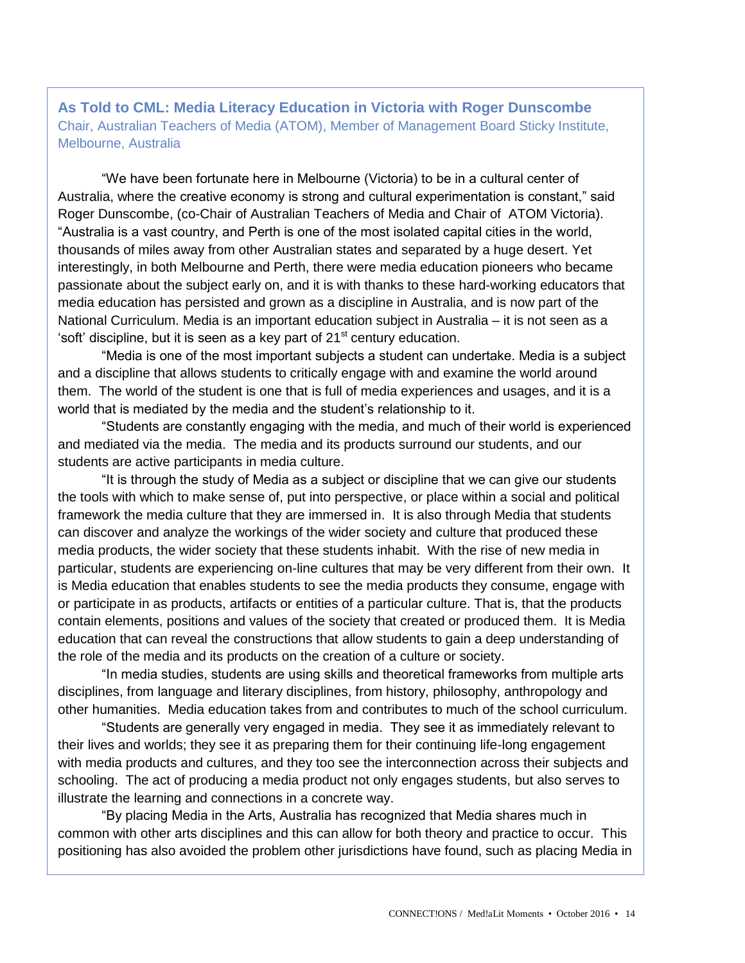**As Told to CML: Media Literacy Education in Victoria with Roger Dunscombe** Chair, Australian Teachers of Media (ATOM), Member of Management Board Sticky Institute, Melbourne, Australia

"We have been fortunate here in Melbourne (Victoria) to be in a cultural center of Australia, where the creative economy is strong and cultural experimentation is constant," said Roger Dunscombe, (co-Chair of Australian Teachers of Media and Chair of ATOM Victoria). "Australia is a vast country, and Perth is one of the most isolated capital cities in the world, thousands of miles away from other Australian states and separated by a huge desert. Yet interestingly, in both Melbourne and Perth, there were media education pioneers who became passionate about the subject early on, and it is with thanks to these hard-working educators that media education has persisted and grown as a discipline in Australia, and is now part of the National Curriculum. Media is an important education subject in Australia – it is not seen as a 'soft' discipline, but it is seen as a key part of  $21<sup>st</sup>$  century education.

"Media is one of the most important subjects a student can undertake. Media is a subject and a discipline that allows students to critically engage with and examine the world around them. The world of the student is one that is full of media experiences and usages, and it is a world that is mediated by the media and the student's relationship to it.

"Students are constantly engaging with the media, and much of their world is experienced and mediated via the media. The media and its products surround our students, and our students are active participants in media culture.

"It is through the study of Media as a subject or discipline that we can give our students the tools with which to make sense of, put into perspective, or place within a social and political framework the media culture that they are immersed in. It is also through Media that students can discover and analyze the workings of the wider society and culture that produced these media products, the wider society that these students inhabit. With the rise of new media in particular, students are experiencing on-line cultures that may be very different from their own. It is Media education that enables students to see the media products they consume, engage with or participate in as products, artifacts or entities of a particular culture. That is, that the products contain elements, positions and values of the society that created or produced them. It is Media education that can reveal the constructions that allow students to gain a deep understanding of the role of the media and its products on the creation of a culture or society.

"In media studies, students are using skills and theoretical frameworks from multiple arts disciplines, from language and literary disciplines, from history, philosophy, anthropology and other humanities. Media education takes from and contributes to much of the school curriculum.

"Students are generally very engaged in media. They see it as immediately relevant to their lives and worlds; they see it as preparing them for their continuing life-long engagement with media products and cultures, and they too see the interconnection across their subjects and schooling. The act of producing a media product not only engages students, but also serves to illustrate the learning and connections in a concrete way.

"By placing Media in the Arts, Australia has recognized that Media shares much in common with other arts disciplines and this can allow for both theory and practice to occur. This positioning has also avoided the problem other jurisdictions have found, such as placing Media in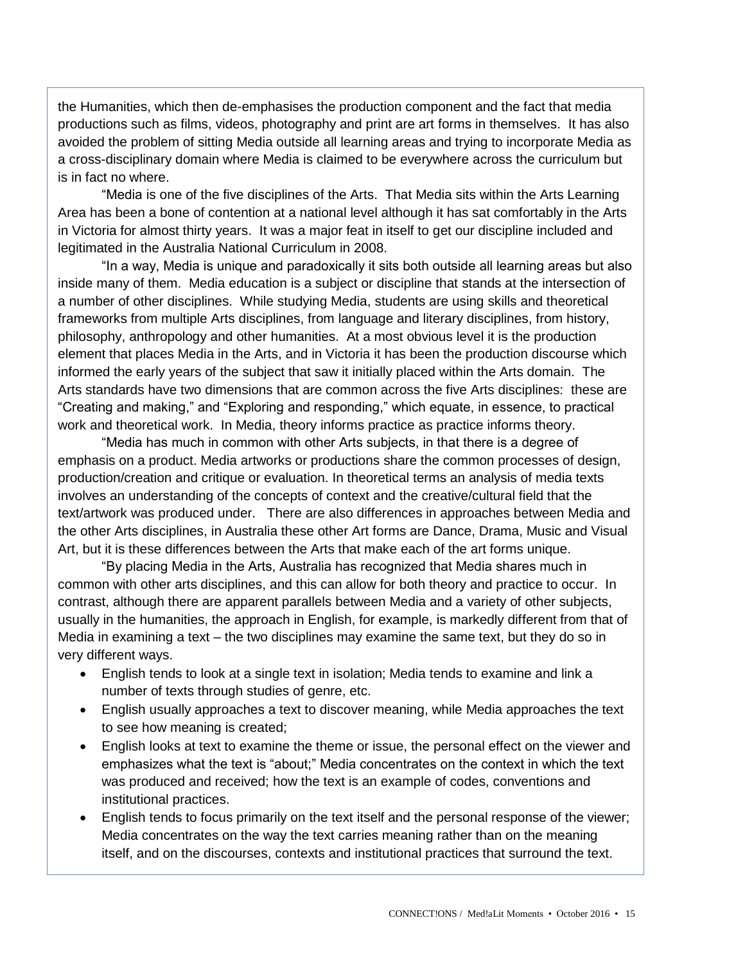the Humanities, which then de-emphasises the production component and the fact that media productions such as films, videos, photography and print are art forms in themselves. It has also avoided the problem of sitting Media outside all learning areas and trying to incorporate Media as a cross-disciplinary domain where Media is claimed to be everywhere across the curriculum but is in fact no where.

"Media is one of the five disciplines of the Arts. That Media sits within the Arts Learning Area has been a bone of contention at a national level although it has sat comfortably in the Arts in Victoria for almost thirty years. It was a major feat in itself to get our discipline included and legitimated in the Australia National Curriculum in 2008.

"In a way, Media is unique and paradoxically it sits both outside all learning areas but also inside many of them. Media education is a subject or discipline that stands at the intersection of a number of other disciplines. While studying Media, students are using skills and theoretical frameworks from multiple Arts disciplines, from language and literary disciplines, from history, philosophy, anthropology and other humanities. At a most obvious level it is the production element that places Media in the Arts, and in Victoria it has been the production discourse which informed the early years of the subject that saw it initially placed within the Arts domain. The Arts standards have two dimensions that are common across the five Arts disciplines: these are "Creating and making," and "Exploring and responding," which equate, in essence, to practical work and theoretical work. In Media, theory informs practice as practice informs theory.

"Media has much in common with other Arts subjects, in that there is a degree of emphasis on a product. Media artworks or productions share the common processes of design, production/creation and critique or evaluation. In theoretical terms an analysis of media texts involves an understanding of the concepts of context and the creative/cultural field that the text/artwork was produced under. There are also differences in approaches between Media and the other Arts disciplines, in Australia these other Art forms are Dance, Drama, Music and Visual Art, but it is these differences between the Arts that make each of the art forms unique.

"By placing Media in the Arts, Australia has recognized that Media shares much in common with other arts disciplines, and this can allow for both theory and practice to occur. In contrast, although there are apparent parallels between Media and a variety of other subjects, usually in the humanities, the approach in English, for example, is markedly different from that of Media in examining a text – the two disciplines may examine the same text, but they do so in very different ways.

- English tends to look at a single text in isolation; Media tends to examine and link a number of texts through studies of genre, etc.
- English usually approaches a text to discover meaning, while Media approaches the text to see how meaning is created;
- English looks at text to examine the theme or issue, the personal effect on the viewer and emphasizes what the text is "about;" Media concentrates on the context in which the text was produced and received; how the text is an example of codes, conventions and institutional practices.
- English tends to focus primarily on the text itself and the personal response of the viewer; Media concentrates on the way the text carries meaning rather than on the meaning itself, and on the discourses, contexts and institutional practices that surround the text.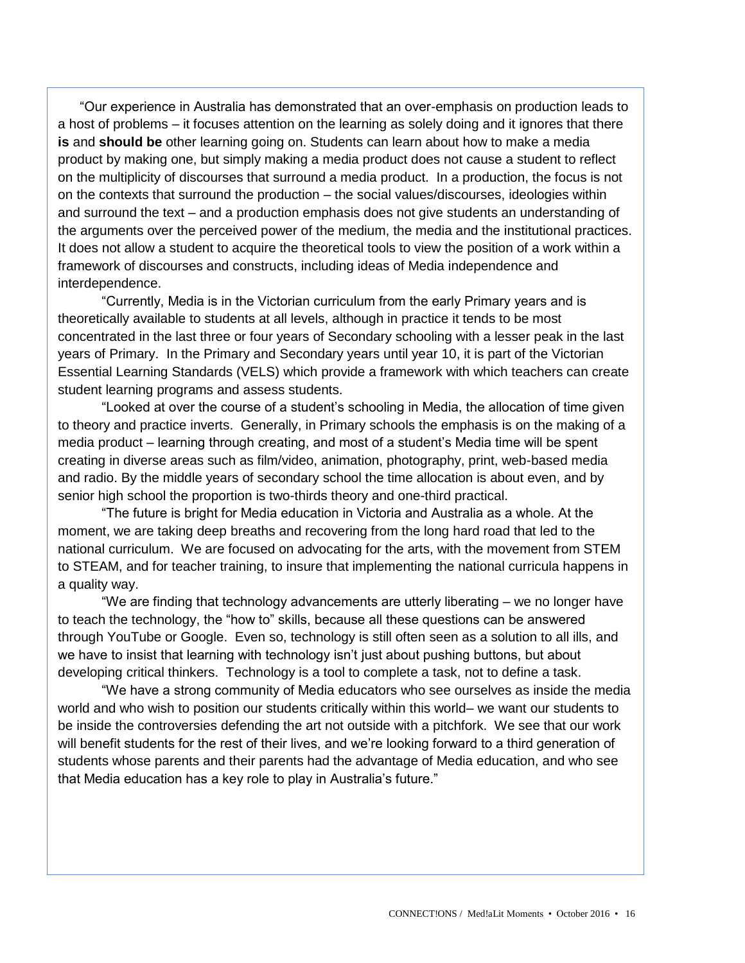"Our experience in Australia has demonstrated that an over-emphasis on production leads to a host of problems – it focuses attention on the learning as solely doing and it ignores that there **is** and **should be** other learning going on. Students can learn about how to make a media product by making one, but simply making a media product does not cause a student to reflect on the multiplicity of discourses that surround a media product. In a production, the focus is not on the contexts that surround the production – the social values/discourses, ideologies within and surround the text – and a production emphasis does not give students an understanding of the arguments over the perceived power of the medium, the media and the institutional practices. It does not allow a student to acquire the theoretical tools to view the position of a work within a framework of discourses and constructs, including ideas of Media independence and interdependence.

"Currently, Media is in the Victorian curriculum from the early Primary years and is theoretically available to students at all levels, although in practice it tends to be most concentrated in the last three or four years of Secondary schooling with a lesser peak in the last years of Primary. In the Primary and Secondary years until year 10, it is part of the Victorian Essential Learning Standards (VELS) which provide a framework with which teachers can create student learning programs and assess students.

"Looked at over the course of a student's schooling in Media, the allocation of time given to theory and practice inverts. Generally, in Primary schools the emphasis is on the making of a media product – learning through creating, and most of a student's Media time will be spent creating in diverse areas such as film/video, animation, photography, print, web-based media and radio. By the middle years of secondary school the time allocation is about even, and by senior high school the proportion is two-thirds theory and one-third practical.

"The future is bright for Media education in Victoria and Australia as a whole. At the moment, we are taking deep breaths and recovering from the long hard road that led to the national curriculum. We are focused on advocating for the arts, with the movement from STEM to STEAM, and for teacher training, to insure that implementing the national curricula happens in a quality way.

"We are finding that technology advancements are utterly liberating – we no longer have to teach the technology, the "how to" skills, because all these questions can be answered through YouTube or Google. Even so, technology is still often seen as a solution to all ills, and we have to insist that learning with technology isn't just about pushing buttons, but about developing critical thinkers. Technology is a tool to complete a task, not to define a task.

"We have a strong community of Media educators who see ourselves as inside the media world and who wish to position our students critically within this world– we want our students to be inside the controversies defending the art not outside with a pitchfork. We see that our work will benefit students for the rest of their lives, and we're looking forward to a third generation of students whose parents and their parents had the advantage of Media education, and who see that Media education has a key role to play in Australia's future."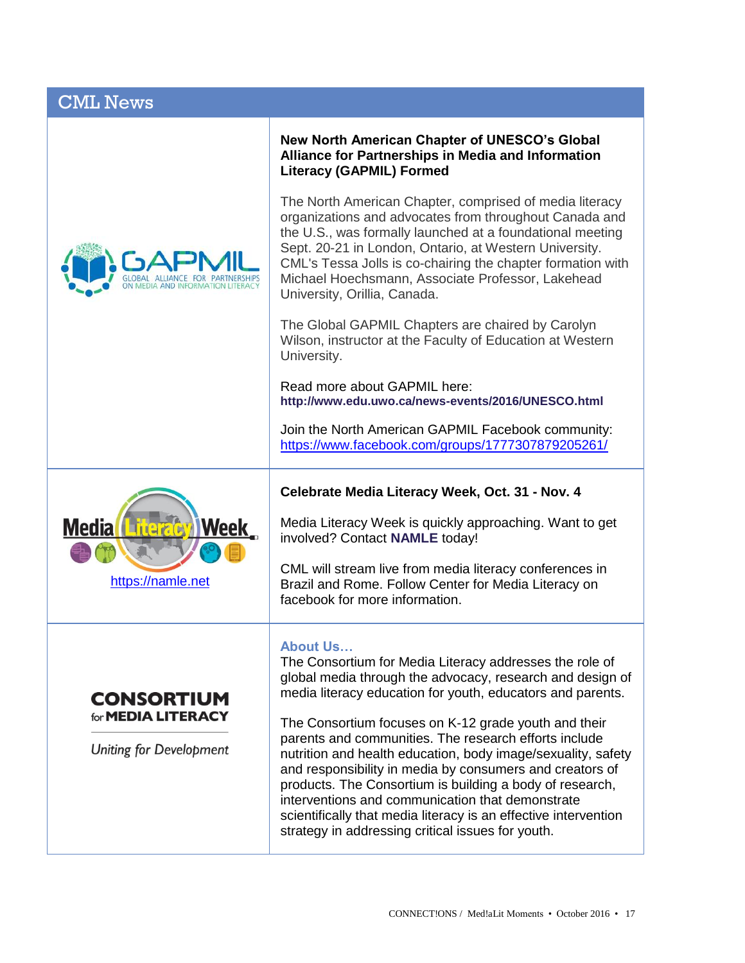## CML News



**New North American Chapter of UNESCO's Global Alliance for Partnerships in Media and Information Literacy (GAPMIL) Formed**

The North American Chapter, comprised of media literacy organizations and advocates from throughout Canada and the U.S., was formally launched at a foundational meeting Sept. 20-21 in London, Ontario, at Western University. CML's Tessa Jolls is co-chairing the chapter formation with Michael Hoechsmann, Associate Professor, Lakehead University, Orillia, Canada.

The Global GAPMIL Chapters are chaired by Carolyn Wilson, instructor at the Faculty of Education at Western University.

Read more about GAPMIL here: **<http://www.edu.uwo.ca/news-events/2016/UNESCO.html>**

Join the North American GAPMIL Facebook community: <https://www.facebook.com/groups/1777307879205261/>



## **Celebrate Media Literacy Week, Oct. 31 - Nov. 4**

Media Literacy Week is quickly approaching. Want to get involved? Contact **[NAMLE](https://namle.net/publications/media-literacy-week-november-2nd-6th-2015/)** today!

CML will stream live from media literacy conferences in Brazil and Rome. Follow Center for Media Literacy on facebook for more information.

#### **About Us…**

The Consortium for Media Literacy addresses the role of global media through the advocacy, research and design of media literacy education for youth, educators and parents.

The Consortium focuses on K-12 grade youth and their parents and communities. The research efforts include nutrition and health education, body image/sexuality, safety and responsibility in media by consumers and creators of products. The Consortium is building a body of research, interventions and communication that demonstrate scientifically that media literacy is an effective intervention strategy in addressing critical issues for youth.



Uniting for Development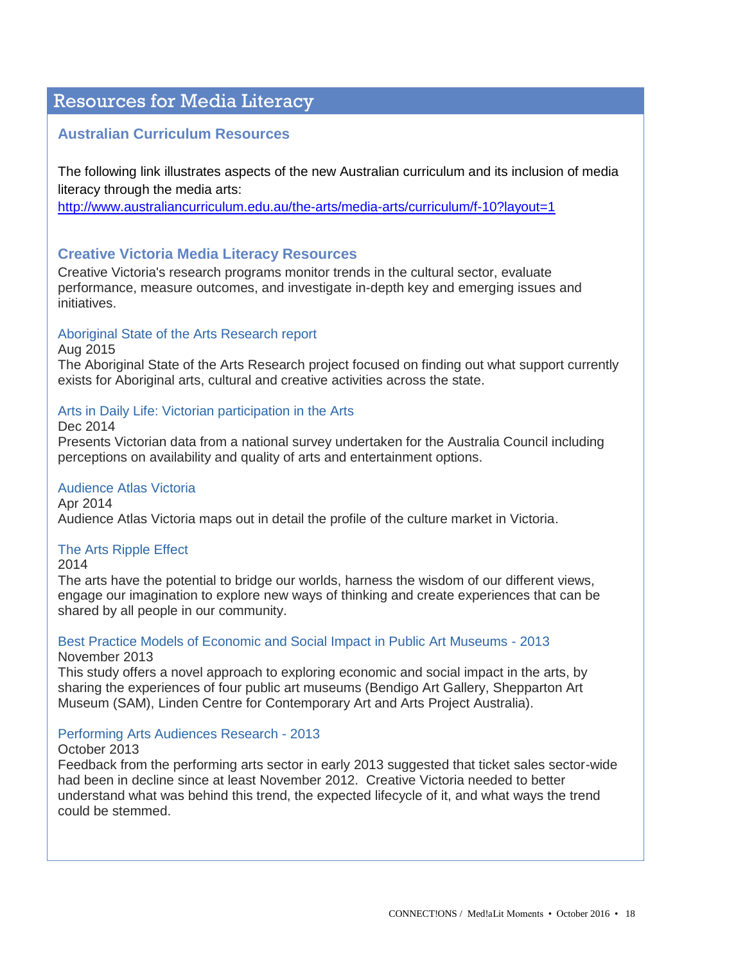## Resources for Media Literacy

## **Australian Curriculum Resources**

The following link illustrates aspects of the new Australian curriculum and its inclusion of media literacy through the media arts:

<http://www.australiancurriculum.edu.au/the-arts/media-arts/curriculum/f-10?layout=1>

## **Creative Victoria Media Literacy Resources**

Creative Victoria's research programs monitor trends in the cultural sector, evaluate performance, measure outcomes, and investigate in-depth key and emerging issues and initiatives.

## [Aboriginal State of the Arts Research report](http://creative.vic.gov.au/research/reports/aboriginal-state-of-the-arts-research-report)

Aug 2015

The Aboriginal State of the Arts Research project focused on finding out what support currently exists for Aboriginal arts, cultural and creative activities across the state.

#### [Arts in Daily Life: Victorian participation in the Arts](http://creative.vic.gov.au/research/reports/arts-in-daily-life)

Dec 2014

Presents Victorian data from a national survey undertaken for the Australia Council including perceptions on availability and quality of arts and entertainment options.

### [Audience Atlas Victoria](http://creative.vic.gov.au/research/reports/audience-atlas-victoria-mapping-victorias-cultural-data)

Apr 2014 Audience Atlas Victoria maps out in detail the profile of the culture market in Victoria.

#### [The Arts Ripple Effect](http://creative.vic.gov.au/research/reports/the-arts-ripple-effect)

2014

The arts have the potential to bridge our worlds, harness the wisdom of our different views, engage our imagination to explore new ways of thinking and create experiences that can be shared by all people in our community.

#### [Best Practice Models of Economic and Social Impact in Public Art Museums -](http://creative.vic.gov.au/research/reports/best-practice-models-of-economic-and-social-impact-in-public-art-museums) 2013 November 2013

This study offers a novel approach to exploring economic and social impact in the arts, by sharing the experiences of four public art museums (Bendigo Art Gallery, Shepparton Art Museum (SAM), Linden Centre for Contemporary Art and Arts Project Australia).

#### [Performing Arts Audiences Research -](http://creative.vic.gov.au/research/reports/performing-arts-audiences-research) 2013

October 2013

Feedback from the performing arts sector in early 2013 suggested that ticket sales sector-wide had been in decline since at least November 2012. Creative Victoria needed to better understand what was behind this trend, the expected lifecycle of it, and what ways the trend could be stemmed.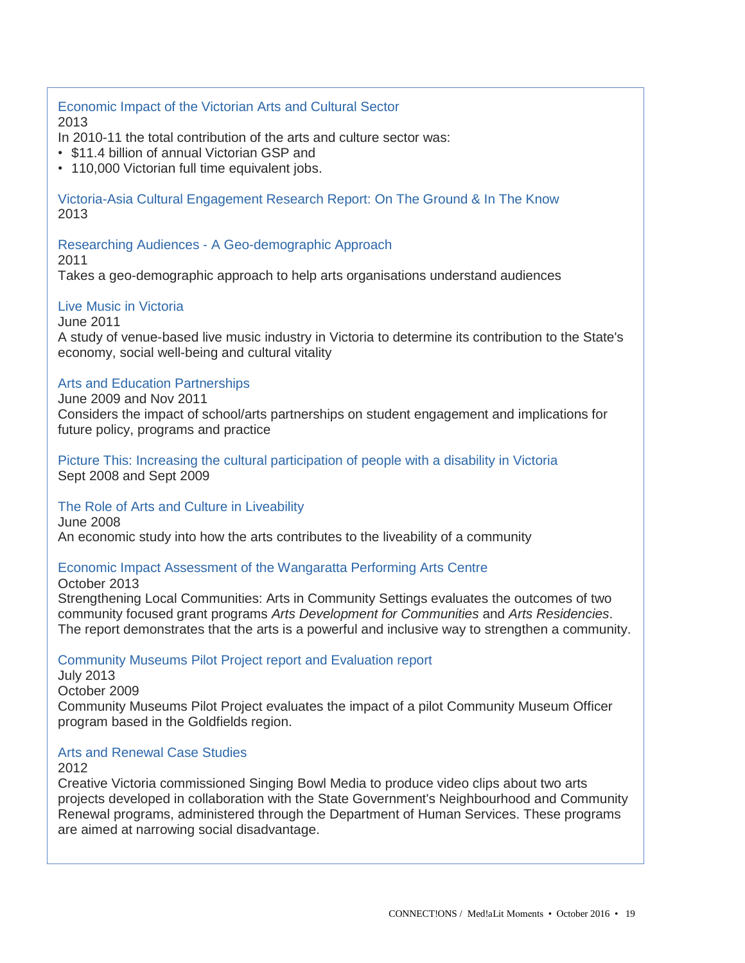[Economic Impact of the Victorian Arts and Cultural Sector](http://creative.vic.gov.au/research/reports/economic-impact-of-arts-and-culture-in-victoria) 2013

In 2010-11 the total contribution of the arts and culture sector was:

- \$11.4 billion of annual Victorian GSP and
- 110,000 Victorian full time equivalent jobs.

[Victoria-Asia Cultural Engagement Research Report: On The Ground & In The Know](http://creative.vic.gov.au/Research_Resources/Research_Reports/Victoria-Asia_cultural_engagement_research_report) 2013

Researching Audiences - [A Geo-demographic Approach](http://creative.vic.gov.au/research/reports/researching-audiences-a-geo-demographic-approach)

2011

Takes a geo-demographic approach to help arts organisations understand audiences

#### [Live Music in Victoria](http://creative.vic.gov.au/research/reports/live-music-in-victoria)

June 2011

A study of venue-based live music industry in Victoria to determine its contribution to the State's economy, social well-being and cultural vitality

## [Arts and Education Partnerships](http://creative.vic.gov.au/research/reports/arts-and-education-partnerships)

June 2009 and Nov 2011

Considers the impact of school/arts partnerships on student engagement and implications for future policy, programs and practice

[Picture This: Increasing the cultural participation of people with a disability in Victoria](http://creative.vic.gov.au/research/reports/arts-and-disability-research-project) Sept 2008 and Sept 2009

[The Role of Arts and Culture in Liveability](http://creative.vic.gov.au/research/reports/the-role-of-arts-and-culture-in-liveability)

June 2008 An economic study into how the arts contributes to the liveability of a community

## [Economic Impact Assessment of the Wangaratta Performing Arts Centre](http://creative.vic.gov.au/research/reports/economic-impact-assessment-of-the-wangaratta-performing-arts-centre)

October 2013

Strengthening Local Communities: Arts in Community Settings evaluates the outcomes of two community focused grant programs *Arts Development for Communities* and *Arts Residencies*. The report demonstrates that the arts is a powerful and inclusive way to strengthen a community.

Community Museums Pilot Project [report and Evaluation report](http://creative.vic.gov.au/research/reports/community-museums-pilot-project)

July 2013 October 2009 Community Museums Pilot Project evaluates the impact of a pilot Community Museum Officer program based in the Goldfields region.

#### [Arts and Renewal Case Studies](http://creative.vic.gov.au/research/reports/arts-and-renewal-case-studies)

2012

Creative Victoria commissioned Singing Bowl Media to produce video clips about two arts projects developed in collaboration with the State Government's Neighbourhood and Community Renewal programs, administered through the Department of Human Services. These programs are aimed at narrowing social disadvantage.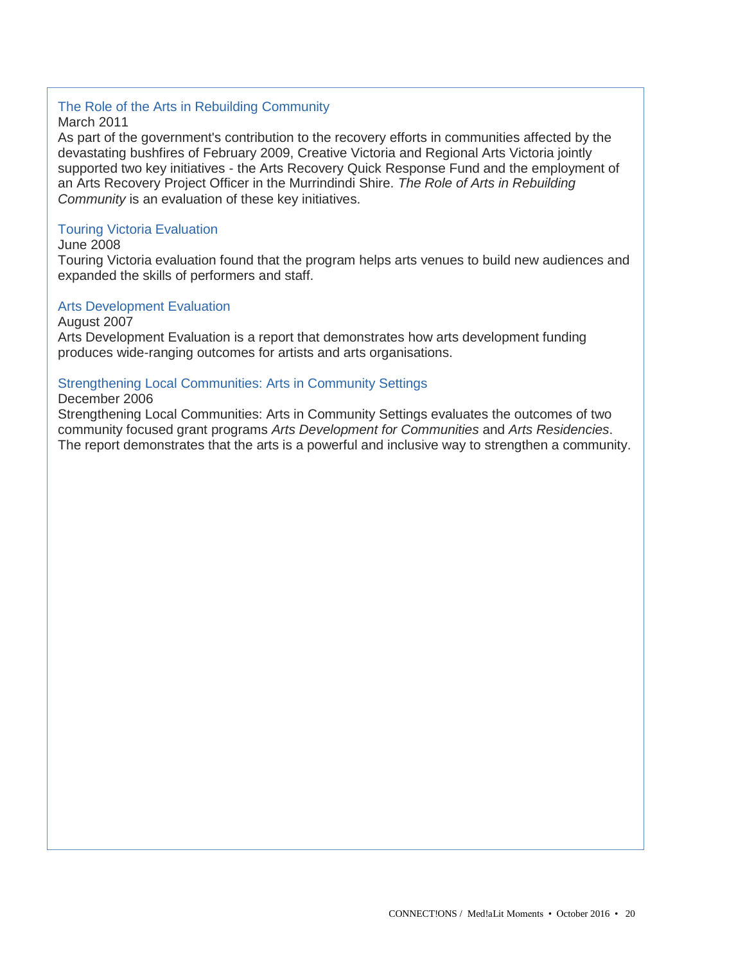## [The Role of the Arts in Rebuilding Community](http://creative.vic.gov.au/research/reports/the-role-of-the-arts-in-rebuilding-community)

March 2011

As part of the government's contribution to the recovery efforts in communities affected by the devastating bushfires of February 2009, Creative Victoria and Regional Arts Victoria jointly supported two key initiatives - the Arts Recovery Quick Response Fund and the employment of an Arts Recovery Project Officer in the Murrindindi Shire. *The Role of Arts in Rebuilding Community* is an evaluation of these key initiatives.

## [Touring Victoria Evaluation](http://creative.vic.gov.au/research/reports/touring-victoria-evaluation)

June 2008

Touring Victoria evaluation found that the program helps arts venues to build new audiences and expanded the skills of performers and staff.

#### [Arts Development Evaluation](http://creative.vic.gov.au/research/reports/arts-development-evaluation)

August 2007

Arts Development Evaluation is a report that demonstrates how arts development funding produces wide-ranging outcomes for artists and arts organisations.

#### [Strengthening Local Communities: Arts in Community Settings](http://creative.vic.gov.au/research/reports/strengthening-local-communities)

#### December 2006

Strengthening Local Communities: Arts in Community Settings evaluates the outcomes of two community focused grant programs *Arts Development for Communities* and *Arts Residencies*. The report demonstrates that the arts is a powerful and inclusive way to strengthen a community.